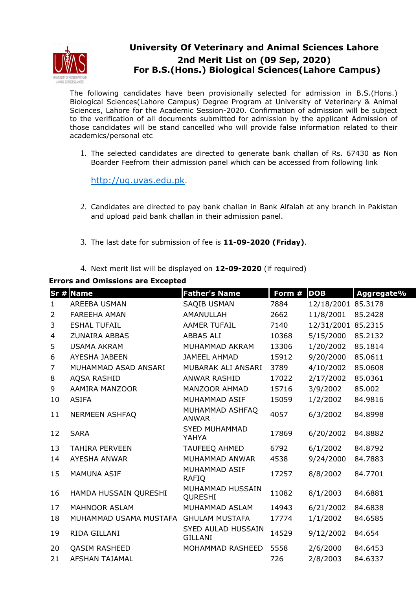

## **University Of Veterinary and Animal Sciences Lahore 2nd Merit List on (09 Sep, 2020) For B.S.(Hons.) Biological Sciences(Lahore Campus)**

The following candidates have been provisionally selected for admission in B.S.(Hons.) Biological Sciences(Lahore Campus) Degree Program at University of Veterinary & Animal Sciences, Lahore for the Academic Session-2020. Confirmation of admission will be subject to the verification of all documents submitted for admission by the applicant Admission of those candidates will be stand cancelled who will provide false information related to their academics/personal etc

1. The selected candidates are directed to generate bank challan of Rs. 67430 as Non Boarder Feefrom their admission panel which can be accessed from following link

http://ug.uvas.edu.pk.

- 2. Candidates are directed to pay bank challan in Bank Alfalah at any branch in Pakistan and upload paid bank challan in their admission panel.
- 3. The last date for submission of fee is **11-09-2020 (Friday)**.
- 4. Next merit list will be displayed on **12-09-2020** (if required)

**Errors and Omissions are Excepted**

|                | $Sr$ # Name            | <b>Father's Name</b>                 | Form # | <b>DOB</b> | Aggregate% |
|----------------|------------------------|--------------------------------------|--------|------------|------------|
| $\mathbf{1}$   | AREEBA USMAN           | <b>SAQIB USMAN</b>                   | 7884   | 12/18/2001 | 85.3178    |
| $\overline{2}$ | <b>FAREEHA AMAN</b>    | AMANULLAH                            | 2662   | 11/8/2001  | 85.2428    |
| 3              | <b>ESHAL TUFAIL</b>    | <b>AAMER TUFAIL</b>                  | 7140   | 12/31/2001 | 85.2315    |
| $\overline{4}$ | <b>ZUNAIRA ABBAS</b>   | <b>ABBAS ALI</b>                     | 10368  | 5/15/2000  | 85.2132    |
| 5              | <b>USAMA AKRAM</b>     | MUHAMMAD AKRAM                       | 13306  | 1/20/2002  | 85.1814    |
| 6              | AYESHA JABEEN          | <b>JAMEEL AHMAD</b>                  | 15912  | 9/20/2000  | 85.0611    |
| $\overline{7}$ | MUHAMMAD ASAD ANSARI   | MUBARAK ALI ANSARI                   | 3789   | 4/10/2002  | 85.0608    |
| 8              | AQSA RASHID            | <b>ANWAR RASHID</b>                  | 17022  | 2/17/2002  | 85.0361    |
| 9              | AAMIRA MANZOOR         | MANZOOR AHMAD                        | 15716  | 3/9/2002   | 85.002     |
| 10             | <b>ASIFA</b>           | MUHAMMAD ASIF                        | 15059  | 1/2/2002   | 84.9816    |
| 11             | <b>NERMEEN ASHFAQ</b>  | MUHAMMAD ASHFAQ<br><b>ANWAR</b>      | 4057   | 6/3/2002   | 84.8998    |
| 12             | <b>SARA</b>            | <b>SYED MUHAMMAD</b><br>YAHYA        | 17869  | 6/20/2002  | 84.8882    |
| 13             | <b>TAHIRA PERVEEN</b>  | TAUFEEQ AHMED                        | 6792   | 6/1/2002   | 84.8792    |
| 14             | <b>AYESHA ANWAR</b>    | MUHAMMAD ANWAR                       | 4538   | 9/24/2000  | 84.7883    |
| 15             | <b>MAMUNA ASIF</b>     | MUHAMMAD ASIF<br><b>RAFIQ</b>        | 17257  | 8/8/2002   | 84.7701    |
| 16             | HAMDA HUSSAIN QURESHI  | MUHAMMAD HUSSAIN<br>QURESHI          | 11082  | 8/1/2003   | 84.6881    |
| 17             | MAHNOOR ASLAM          | MUHAMMAD ASLAM                       | 14943  | 6/21/2002  | 84.6838    |
| 18             | MUHAMMAD USAMA MUSTAFA | <b>GHULAM MUSTAFA</b>                | 17774  | 1/1/2002   | 84.6585    |
| 19             | RIDA GILLANI           | SYED AULAD HUSSAIN<br><b>GILLANI</b> | 14529  | 9/12/2002  | 84.654     |
| 20             | <b>QASIM RASHEED</b>   | MOHAMMAD RASHEED                     | 5558   | 2/6/2000   | 84.6453    |
| 21             | <b>AFSHAN TAJAMAL</b>  |                                      | 726    | 2/8/2003   | 84.6337    |